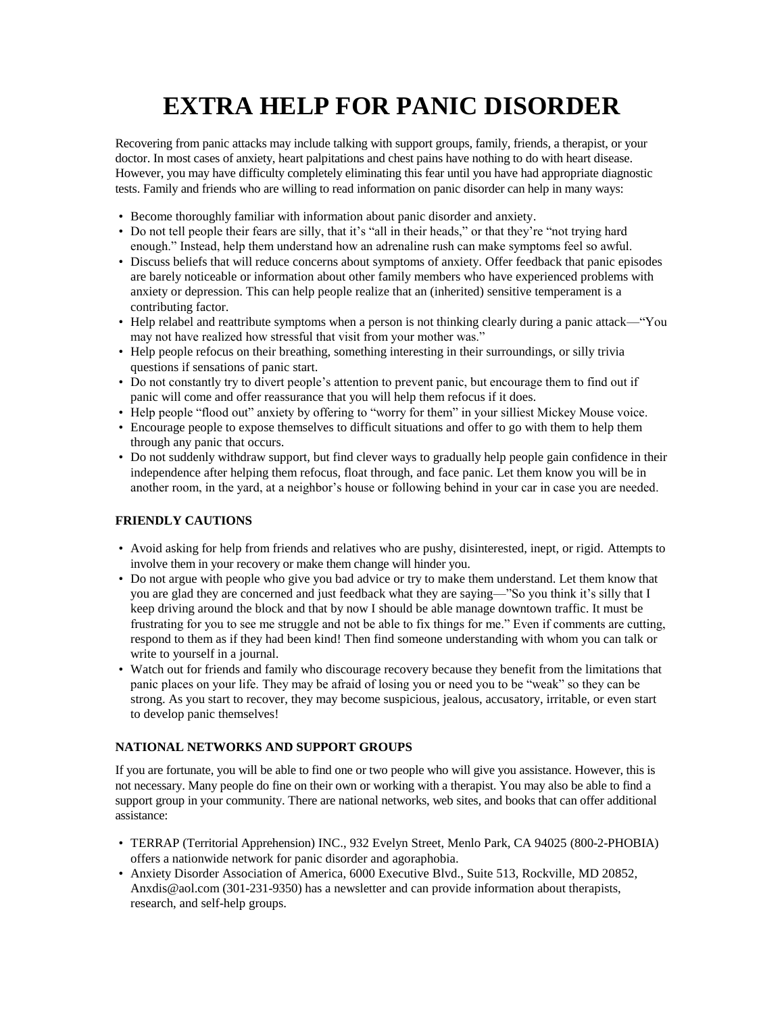# **EXTRA HELP FOR PANIC DISORDER**

Recovering from panic attacks may include talking with support groups, family, friends, a therapist, or your doctor. In most cases of anxiety, heart palpitations and chest pains have nothing to do with heart disease. However, you may have difficulty completely eliminating this fear until you have had appropriate diagnostic tests. Family and friends who are willing to read information on panic disorder can help in many ways:

- Become thoroughly familiar with information about panic disorder and anxiety.
- Do not tell people their fears are silly, that it's "all in their heads," or that they're "not trying hard enough." Instead, help them understand how an adrenaline rush can make symptoms feel so awful.
- Discuss beliefs that will reduce concerns about symptoms of anxiety. Offer feedback that panic episodes are barely noticeable or information about other family members who have experienced problems with anxiety or depression. This can help people realize that an (inherited) sensitive temperament is a contributing factor.
- Help relabel and reattribute symptoms when a person is not thinking clearly during a panic attack—"You may not have realized how stressful that visit from your mother was."
- Help people refocus on their breathing, something interesting in their surroundings, or silly trivia questions if sensations of panic start.
- Do not constantly try to divert people's attention to prevent panic, but encourage them to find out if panic will come and offer reassurance that you will help them refocus if it does.
- Help people "flood out" anxiety by offering to "worry for them" in your silliest Mickey Mouse voice.
- Encourage people to expose themselves to difficult situations and offer to go with them to help them through any panic that occurs.
- Do not suddenly withdraw support, but find clever ways to gradually help people gain confidence in their independence after helping them refocus, float through, and face panic. Let them know you will be in another room, in the yard, at a neighbor's house or following behind in your car in case you are needed.

## **FRIENDLY CAUTIONS**

- Avoid asking for help from friends and relatives who are pushy, disinterested, inept, or rigid. Attempts to involve them in your recovery or make them change will hinder you.
- Do not argue with people who give you bad advice or try to make them understand. Let them know that you are glad they are concerned and just feedback what they are saying—"So you think it's silly that I keep driving around the block and that by now I should be able manage downtown traffic. It must be frustrating for you to see me struggle and not be able to fix things for me." Even if comments are cutting, respond to them as if they had been kind! Then find someone understanding with whom you can talk or write to yourself in a journal.
- Watch out for friends and family who discourage recovery because they benefit from the limitations that panic places on your life. They may be afraid of losing you or need you to be "weak" so they can be strong. As you start to recover, they may become suspicious, jealous, accusatory, irritable, or even start to develop panic themselves!

## **NATIONAL NETWORKS AND SUPPORT GROUPS**

If you are fortunate, you will be able to find one or two people who will give you assistance. However, this is not necessary. Many people do fine on their own or working with a therapist. You may also be able to find a support group in your community. There are national networks, web sites, and books that can offer additional assistance:

- TERRAP (Territorial Apprehension) INC., 932 Evelyn Street, Menlo Park, CA 94025 (800-2-PHOBIA) offers a nationwide network for panic disorder and agoraphobia.
- Anxiety Disorder Association of America, 6000 Executive Blvd., Suite 513, Rockville, MD 20852, Anxdis@aol.com (301-231-9350) has a newsletter and can provide information about therapists, research, and self-help groups.